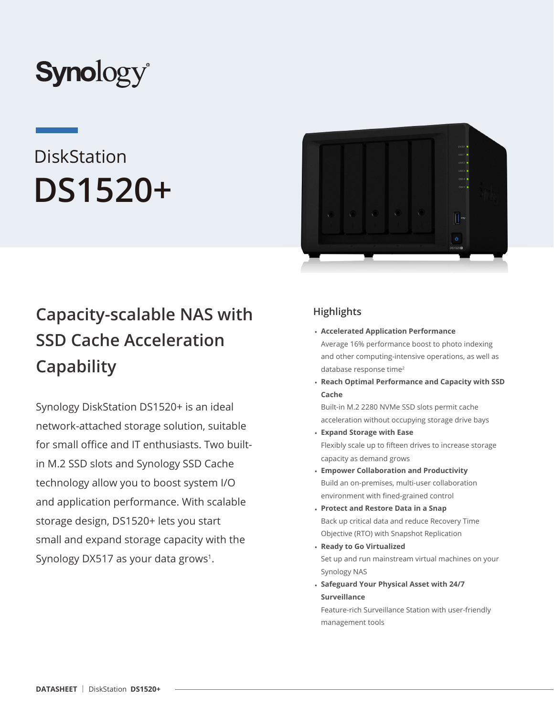

# **DiskStation DS1520+**



Synology DiskStation DS1520+ is an ideal network-attached storage solution, suitable for small office and IT enthusiasts. Two builtin M.2 SSD slots and Synology SSD Cache technology allow you to boost system I/O and application performance. With scalable storage design, DS1520+ lets you start small and expand storage capacity with the Synology DX517 as your data grows<sup>1</sup>.



## **Highlights**

- **Accelerated Application Performance** Average 16% performance boost to photo indexing and other computing-intensive operations, as well as database response time<sup>2</sup>
- **Reach Optimal Performance and Capacity with SSD Cache**

Built-in M.2 2280 NVMe SSD slots permit cache acceleration without occupying storage drive bays

- **Expand Storage with Ease** Flexibly scale up to fifteen drives to increase storage capacity as demand grows
- **Empower Collaboration and Productivity** Build an on-premises, multi-user collaboration environment with fined-grained control
- **Protect and Restore Data in a Snap** Back up critical data and reduce Recovery Time Objective (RTO) with Snapshot Replication
- **Ready to Go Virtualized** Set up and run mainstream virtual machines on your Synology NAS
- **Safeguard Your Physical Asset with 24/7 Surveillance**

Feature-rich Surveillance Station with user-friendly management tools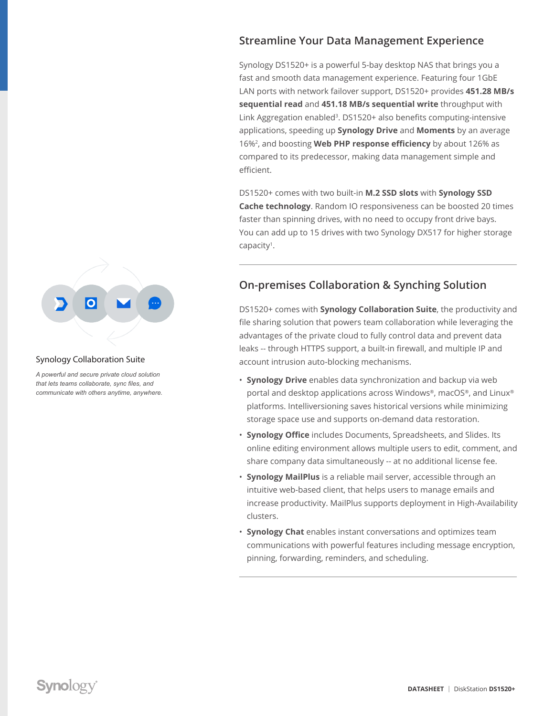## Synology Collaboration Suite

*A powerful and secure private cloud solution that lets teams collaborate, sync files, and communicate with others anytime, anywhere.*

## **Streamline Your Data Management Experience**

Synology DS1520+ is a powerful 5-bay desktop NAS that brings you a fast and smooth data management experience. Featuring four 1GbE LAN ports with network failover support, DS1520+ provides **451.28 MB/s sequential read** and **451.18 MB/s sequential write** throughput with Link Aggregation enabled<sup>3</sup>. DS1520+ also benefits computing-intensive applications, speeding up **Synology Drive** and **Moments** by an average 16%2, and boosting **Web PHP response efficiency** by about 126% as compared to its predecessor, making data management simple and efficient.

DS1520+ comes with two built-in **M.2 SSD slots** with **Synology SSD Cache technology**. Random IO responsiveness can be boosted 20 times faster than spinning drives, with no need to occupy front drive bays. You can add up to 15 drives with two Synology DX517 for higher storage capacity<sup>1</sup>.

## **On-premises Collaboration & Synching Solution**

DS1520+ comes with **Synology Collaboration Suite**, the productivity and file sharing solution that powers team collaboration while leveraging the advantages of the private cloud to fully control data and prevent data leaks -- through HTTPS support, a built-in firewall, and multiple IP and account intrusion auto-blocking mechanisms.

- **Synology Drive** enables data synchronization and backup via web portal and desktop applications across Windows®, macOS®, and Linux® platforms. Intelliversioning saves historical versions while minimizing storage space use and supports on-demand data restoration.
- **Synology Office** includes Documents, Spreadsheets, and Slides. Its online editing environment allows multiple users to edit, comment, and share company data simultaneously -- at no additional license fee.
- **Synology MailPlus** is a reliable mail server, accessible through an intuitive web-based client, that helps users to manage emails and increase productivity. MailPlus supports deployment in High-Availability clusters.
- **Synology Chat** enables instant conversations and optimizes team communications with powerful features including message encryption, pinning, forwarding, reminders, and scheduling.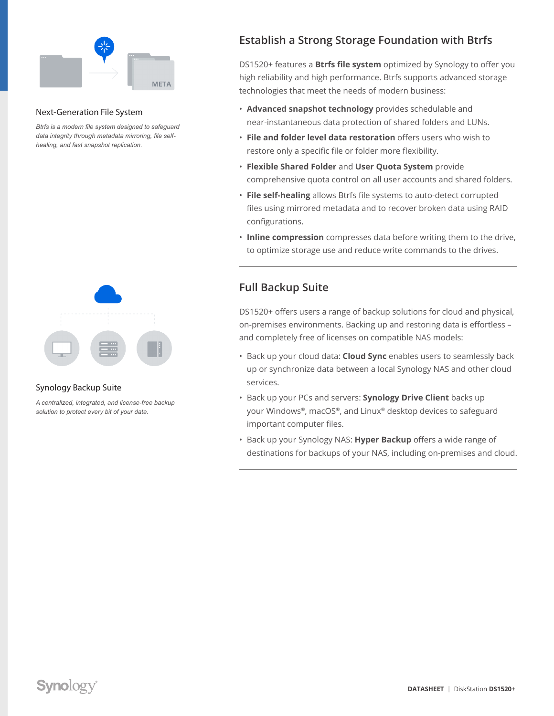

#### Next-Generation File System

*Btrfs is a modern file system designed to safeguard data integrity through metadata mirroring, file selfhealing, and fast snapshot replication.*



#### Synology Backup Suite

*A centralized, integrated, and license-free backup solution to protect every bit of your data.*

## **Establish a Strong Storage Foundation with Btrfs**

DS1520+ features a **Btrfs file system** optimized by Synology to offer you high reliability and high performance. Btrfs supports advanced storage technologies that meet the needs of modern business:

- **Advanced snapshot technology** provides schedulable and near-instantaneous data protection of shared folders and LUNs.
- **File and folder level data restoration** offers users who wish to restore only a specific file or folder more flexibility.
- **Flexible Shared Folder** and **User Quota System** provide comprehensive quota control on all user accounts and shared folders.
- **File self-healing** allows Btrfs file systems to auto-detect corrupted files using mirrored metadata and to recover broken data using RAID configurations.
- **Inline compression** compresses data before writing them to the drive, to optimize storage use and reduce write commands to the drives.

### **Full Backup Suite**

DS1520+ offers users a range of backup solutions for cloud and physical, on-premises environments. Backing up and restoring data is effortless – and completely free of licenses on compatible NAS models:

- Back up your cloud data: **Cloud Sync** enables users to seamlessly back up or synchronize data between a local Synology NAS and other cloud services.
- Back up your PCs and servers: **Synology Drive Client** backs up your Windows®, macOS®, and Linux® desktop devices to safeguard important computer files.
- Back up your Synology NAS: **Hyper Backup** offers a wide range of destinations for backups of your NAS, including on-premises and cloud.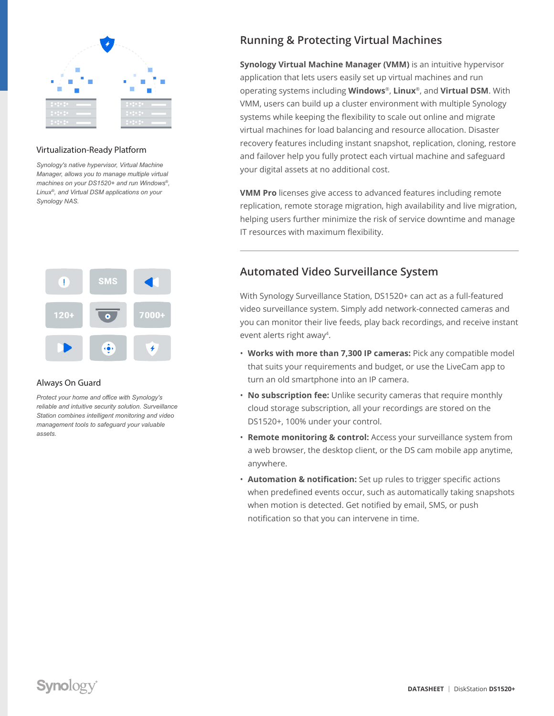

#### Virtualization-Ready Platform

*Synology's native hypervisor, Virtual Machine Manager, allows you to manage multiple virtual machines on your DS1520+ and run Windows®, Linux®, and Virtual DSM applications on your Synology NAS.*



#### Always On Guard

*Protect your home and office with Synology's reliable and intuitive security solution. Surveillance Station combines intelligent monitoring and video management tools to safeguard your valuable assets.*

## **Running & Protecting Virtual Machines**

**Synology Virtual Machine Manager (VMM)** is an intuitive hypervisor application that lets users easily set up virtual machines and run operating systems including **Windows**®, **Linux**®, and **Virtual DSM**. With VMM, users can build up a cluster environment with multiple Synology systems while keeping the flexibility to scale out online and migrate virtual machines for load balancing and resource allocation. Disaster recovery features including instant snapshot, replication, cloning, restore and failover help you fully protect each virtual machine and safeguard your digital assets at no additional cost.

**VMM Pro** licenses give access to advanced features including remote replication, remote storage migration, high availability and live migration, helping users further minimize the risk of service downtime and manage IT resources with maximum flexibility.

## **Automated Video Surveillance System**

With Synology Surveillance Station, DS1520+ can act as a full-featured video surveillance system. Simply add network-connected cameras and you can monitor their live feeds, play back recordings, and receive instant event alerts right away4.

- **Works with more than 7,300 IP cameras:** Pick any compatible model that suits your requirements and budget, or use the LiveCam app to turn an old smartphone into an IP camera.
- **No subscription fee:** Unlike security cameras that require monthly cloud storage subscription, all your recordings are stored on the DS1520+, 100% under your control.
- **Remote monitoring & control:** Access your surveillance system from a web browser, the desktop client, or the DS cam mobile app anytime, anywhere.
- **Automation & notification:** Set up rules to trigger specific actions when predefined events occur, such as automatically taking snapshots when motion is detected. Get notified by email, SMS, or push notification so that you can intervene in time.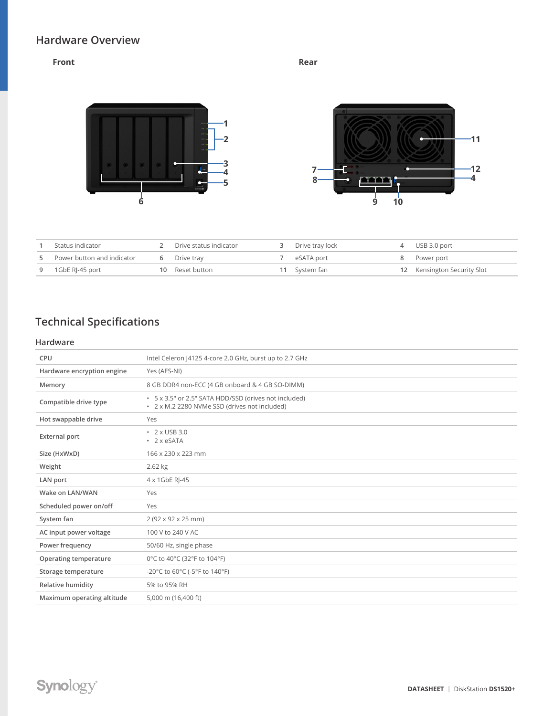## **Hardware Overview**

#### **Front Rear**





|   | Status indicator           | Drive status indicator | Drive tray lock | 4 USB 3.0 port              |
|---|----------------------------|------------------------|-----------------|-----------------------------|
|   | Power button and indicator | Drive tray             | eSATA port      | 8 Power port                |
| 9 | 1GbE RI-45 port            | 10 Reset button        | 11 System fan   | 12 Kensington Security Slot |

# **Technical Specifications**

#### **Hardware**

| CPU                        | Intel Celeron  4125 4-core 2.0 GHz, burst up to 2.7 GHz                                                |
|----------------------------|--------------------------------------------------------------------------------------------------------|
| Hardware encryption engine | Yes (AES-NI)                                                                                           |
| Memory                     | 8 GB DDR4 non-ECC (4 GB onboard & 4 GB SO-DIMM)                                                        |
| Compatible drive type      | • 5 x 3.5" or 2.5" SATA HDD/SSD (drives not included)<br>• 2 x M.2 2280 NVMe SSD (drives not included) |
| Hot swappable drive        | Yes                                                                                                    |
| <b>External port</b>       | $\cdot$ 2 x USB 3.0<br>$\cdot$ 2 x eSATA                                                               |
| Size (HxWxD)               | 166 x 230 x 223 mm                                                                                     |
| Weight                     | 2.62 kg                                                                                                |
| LAN port                   | 4 x 1GbE RI-45                                                                                         |
| Wake on LAN/WAN            | Yes                                                                                                    |
| Scheduled power on/off     | Yes                                                                                                    |
| System fan                 | 2 (92 x 92 x 25 mm)                                                                                    |
| AC input power voltage     | 100 V to 240 V AC                                                                                      |
| Power frequency            | 50/60 Hz, single phase                                                                                 |
| Operating temperature      | 0°C to 40°C (32°F to 104°F)                                                                            |
| Storage temperature        | -20°C to 60°C (-5°F to 140°F)                                                                          |
| Relative humidity          | 5% to 95% RH                                                                                           |
| Maximum operating altitude | 5,000 m (16,400 ft)                                                                                    |
|                            |                                                                                                        |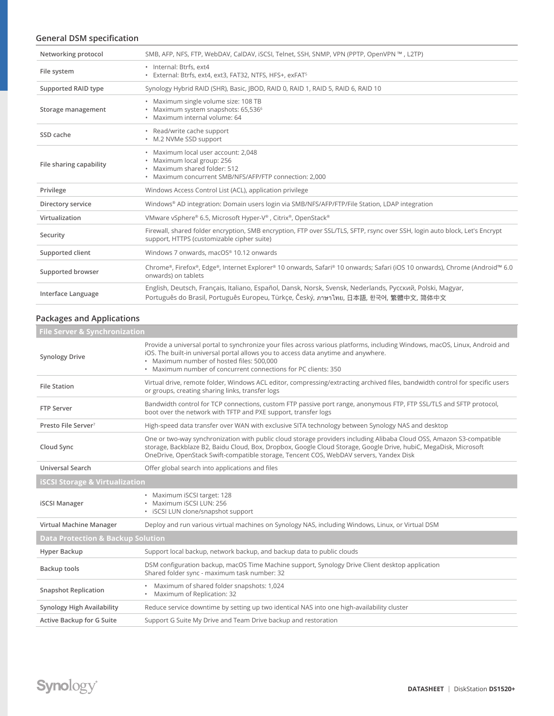#### **General DSM specification**

| Networking protocol     | SMB, AFP, NFS, FTP, WebDAV, CalDAV, iSCSI, Telnet, SSH, SNMP, VPN (PPTP, OpenVPN ™, L2TP)                                                                                                         |
|-------------------------|---------------------------------------------------------------------------------------------------------------------------------------------------------------------------------------------------|
| File system             | · Internal: Btrfs, ext4<br>· External: Btrfs, ext4, ext3, FAT32, NTFS, HFS+, exFAT5                                                                                                               |
| Supported RAID type     | Synology Hybrid RAID (SHR), Basic, JBOD, RAID 0, RAID 1, RAID 5, RAID 6, RAID 10                                                                                                                  |
| Storage management      | · Maximum single volume size: 108 TB<br>• Maximum system snapshots: 65,536 <sup>6</sup><br>· Maximum internal volume: 64                                                                          |
| SSD cache               | • Read/write cache support<br>• M.2 NVMe SSD support                                                                                                                                              |
| File sharing capability | · Maximum local user account: 2,048<br>· Maximum local group: 256<br>· Maximum shared folder: 512<br>• Maximum concurrent SMB/NFS/AFP/FTP connection: 2,000                                       |
| Privilege               | Windows Access Control List (ACL), application privilege                                                                                                                                          |
| Directory service       | Windows® AD integration: Domain users login via SMB/NFS/AFP/FTP/File Station, LDAP integration                                                                                                    |
| Virtualization          | VMware vSphere® 6.5, Microsoft Hyper-V®, Citrix®, OpenStack®                                                                                                                                      |
| Security                | Firewall, shared folder encryption, SMB encryption, FTP over SSL/TLS, SFTP, rsync over SSH, login auto block, Let's Encrypt<br>support, HTTPS (customizable cipher suite)                         |
| Supported client        | Windows 7 onwards, macOS® 10.12 onwards                                                                                                                                                           |
| Supported browser       | Chrome®, Firefox®, Edge®, Internet Explorer® 10 onwards, Safari® 10 onwards; Safari (iOS 10 onwards), Chrome (Android™ 6.0<br>onwards) on tablets                                                 |
| Interface Language      | English, Deutsch, Français, Italiano, Español, Dansk, Norsk, Svensk, Nederlands, Русский, Polski, Magyar,<br>Português do Brasil, Português Europeu, Türkçe, Český, ภาษาไทย, 日本語, 한국어, 繁體中文, 简体中文 |

#### **Packages and Applications**

| File Server & Synchronization                |                                                                                                                                                                                                                                                                                                                                    |  |  |
|----------------------------------------------|------------------------------------------------------------------------------------------------------------------------------------------------------------------------------------------------------------------------------------------------------------------------------------------------------------------------------------|--|--|
| <b>Synology Drive</b>                        | Provide a universal portal to synchronize your files across various platforms, including Windows, macOS, Linux, Android and<br>iOS. The built-in universal portal allows you to access data anytime and anywhere.<br>• Maximum number of hosted files: 500,000<br>• Maximum number of concurrent connections for PC clients: 350   |  |  |
| <b>File Station</b>                          | Virtual drive, remote folder, Windows ACL editor, compressing/extracting archived files, bandwidth control for specific users<br>or groups, creating sharing links, transfer logs                                                                                                                                                  |  |  |
| <b>FTP Server</b>                            | Bandwidth control for TCP connections, custom FTP passive port range, anonymous FTP, FTP SSL/TLS and SFTP protocol,<br>boot over the network with TFTP and PXE support, transfer logs                                                                                                                                              |  |  |
| Presto File Server <sup>7</sup>              | High-speed data transfer over WAN with exclusive SITA technology between Synology NAS and desktop                                                                                                                                                                                                                                  |  |  |
| Cloud Sync                                   | One or two-way synchronization with public cloud storage providers including Alibaba Cloud OSS, Amazon S3-compatible<br>storage, Backblaze B2, Baidu Cloud, Box, Dropbox, Google Cloud Storage, Google Drive, hubiC, MegaDisk, Microsoft<br>OneDrive, OpenStack Swift-compatible storage, Tencent COS, WebDAV servers, Yandex Disk |  |  |
| Universal Search                             | Offer global search into applications and files                                                                                                                                                                                                                                                                                    |  |  |
| <b>iSCSI Storage &amp; Virtualization</b>    |                                                                                                                                                                                                                                                                                                                                    |  |  |
| <b>iSCSI Manager</b>                         | • Maximum iSCSI target: 128<br>· Maximum iSCSI LUN: 256<br>• iSCSI LUN clone/snapshot support                                                                                                                                                                                                                                      |  |  |
| Virtual Machine Manager                      | Deploy and run various virtual machines on Synology NAS, including Windows, Linux, or Virtual DSM                                                                                                                                                                                                                                  |  |  |
| <b>Data Protection &amp; Backup Solution</b> |                                                                                                                                                                                                                                                                                                                                    |  |  |
| Hyper Backup                                 | Support local backup, network backup, and backup data to public clouds                                                                                                                                                                                                                                                             |  |  |
| Backup tools                                 | DSM configuration backup, macOS Time Machine support, Synology Drive Client desktop application<br>Shared folder sync - maximum task number: 32                                                                                                                                                                                    |  |  |
| <b>Snapshot Replication</b>                  | • Maximum of shared folder snapshots: 1,024<br>• Maximum of Replication: 32                                                                                                                                                                                                                                                        |  |  |
| Synology High Availability                   | Reduce service downtime by setting up two identical NAS into one high-availability cluster                                                                                                                                                                                                                                         |  |  |
| Active Backup for G Suite                    | Support G Suite My Drive and Team Drive backup and restoration                                                                                                                                                                                                                                                                     |  |  |
|                                              |                                                                                                                                                                                                                                                                                                                                    |  |  |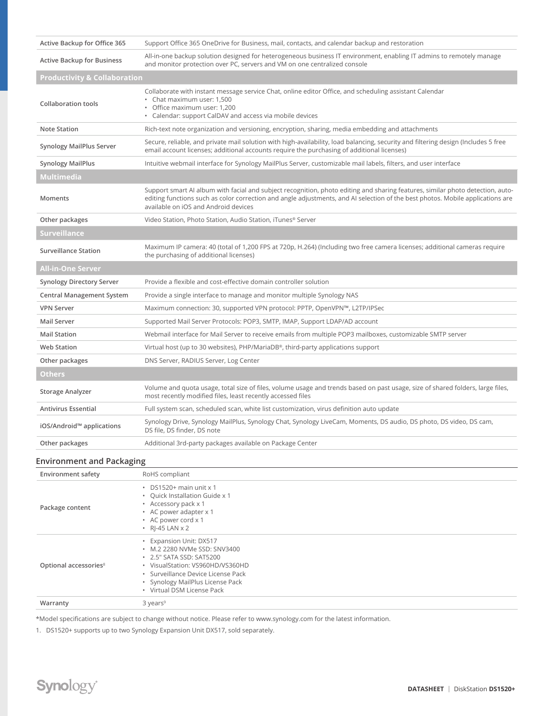| Active Backup for Office 365            | Support Office 365 OneDrive for Business, mail, contacts, and calendar backup and restoration                                                                                                                                                                                                            |
|-----------------------------------------|----------------------------------------------------------------------------------------------------------------------------------------------------------------------------------------------------------------------------------------------------------------------------------------------------------|
| <b>Active Backup for Business</b>       | All-in-one backup solution designed for heterogeneous business IT environment, enabling IT admins to remotely manage<br>and monitor protection over PC, servers and VM on one centralized console                                                                                                        |
| <b>Productivity &amp; Collaboration</b> |                                                                                                                                                                                                                                                                                                          |
| <b>Collaboration tools</b>              | Collaborate with instant message service Chat, online editor Office, and scheduling assistant Calendar<br>• Chat maximum user: 1,500<br>· Office maximum user: 1,200<br>• Calendar: support CalDAV and access via mobile devices                                                                         |
| <b>Note Station</b>                     | Rich-text note organization and versioning, encryption, sharing, media embedding and attachments                                                                                                                                                                                                         |
| <b>Synology MailPlus Server</b>         | Secure, reliable, and private mail solution with high-availability, load balancing, security and filtering design (Includes 5 free<br>email account licenses; additional accounts require the purchasing of additional licenses)                                                                         |
| <b>Synology MailPlus</b>                | Intuitive webmail interface for Synology MailPlus Server, customizable mail labels, filters, and user interface                                                                                                                                                                                          |
| Multimedia                              |                                                                                                                                                                                                                                                                                                          |
| Moments                                 | Support smart AI album with facial and subject recognition, photo editing and sharing features, similar photo detection, auto-<br>editing functions such as color correction and angle adjustments, and AI selection of the best photos. Mobile applications are<br>available on iOS and Android devices |
| Other packages                          | Video Station, Photo Station, Audio Station, iTunes® Server                                                                                                                                                                                                                                              |
| <b>Surveillance</b>                     |                                                                                                                                                                                                                                                                                                          |
| <b>Surveillance Station</b>             | Maximum IP camera: 40 (total of 1,200 FPS at 720p, H.264) (Including two free camera licenses; additional cameras require<br>the purchasing of additional licenses)                                                                                                                                      |
| <b>All-in-One Server</b>                |                                                                                                                                                                                                                                                                                                          |
| <b>Synology Directory Server</b>        | Provide a flexible and cost-effective domain controller solution                                                                                                                                                                                                                                         |
| <b>Central Management System</b>        | Provide a single interface to manage and monitor multiple Synology NAS                                                                                                                                                                                                                                   |
| <b>VPN Server</b>                       | Maximum connection: 30, supported VPN protocol: PPTP, OpenVPN™, L2TP/IPSec                                                                                                                                                                                                                               |
| <b>Mail Server</b>                      | Supported Mail Server Protocols: POP3, SMTP, IMAP, Support LDAP/AD account                                                                                                                                                                                                                               |
| <b>Mail Station</b>                     | Webmail interface for Mail Server to receive emails from multiple POP3 mailboxes, customizable SMTP server                                                                                                                                                                                               |
| Web Station                             | Virtual host (up to 30 websites), $PHP/MariaDB^{\circ}$ , third-party applications support                                                                                                                                                                                                               |
| Other packages                          | DNS Server, RADIUS Server, Log Center                                                                                                                                                                                                                                                                    |
| Others                                  |                                                                                                                                                                                                                                                                                                          |
| <b>Storage Analyzer</b>                 | Volume and quota usage, total size of files, volume usage and trends based on past usage, size of shared folders, large files,<br>most recently modified files, least recently accessed files                                                                                                            |
| <b>Antivirus Essential</b>              | Full system scan, scheduled scan, white list customization, virus definition auto update                                                                                                                                                                                                                 |
| iOS/Android™ applications               | Synology Drive, Synology MailPlus, Synology Chat, Synology LiveCam, Moments, DS audio, DS photo, DS video, DS cam,<br>DS file, DS finder, DS note                                                                                                                                                        |
| Other packages                          | Additional 3rd-party packages available on Package Center                                                                                                                                                                                                                                                |
| <b>Environment and Packaging</b>        |                                                                                                                                                                                                                                                                                                          |

| <b>Environment safety</b>         | RoHS compliant                                                                                                                                                                                                                  |
|-----------------------------------|---------------------------------------------------------------------------------------------------------------------------------------------------------------------------------------------------------------------------------|
| Package content                   | $\cdot$ DS1520+ main unit x 1<br>• Quick Installation Guide x 1<br>• Accessory pack x 1<br>• AC power adapter x 1<br>• AC power cord x 1<br>$\cdot$ RJ-45 LAN $\times$ 2                                                        |
| Optional accessories <sup>8</sup> | • Expansion Unit: DX517<br>• M.2 2280 NVMe SSD: SNV3400<br>• 2.5" SATA SSD: SAT5200<br>• VisualStation: VS960HD/VS360HD<br>· Surveillance Device License Pack<br>• Synology MailPlus License Pack<br>• Virtual DSM License Pack |
| Warranty                          | $3 \text{ years}^9$                                                                                                                                                                                                             |

\*Model specifications are subject to change without notice. Please refer to www.synology.com for the latest information.

1. DS1520+ supports up to two Synology Expansion Unit DX517, sold separately.